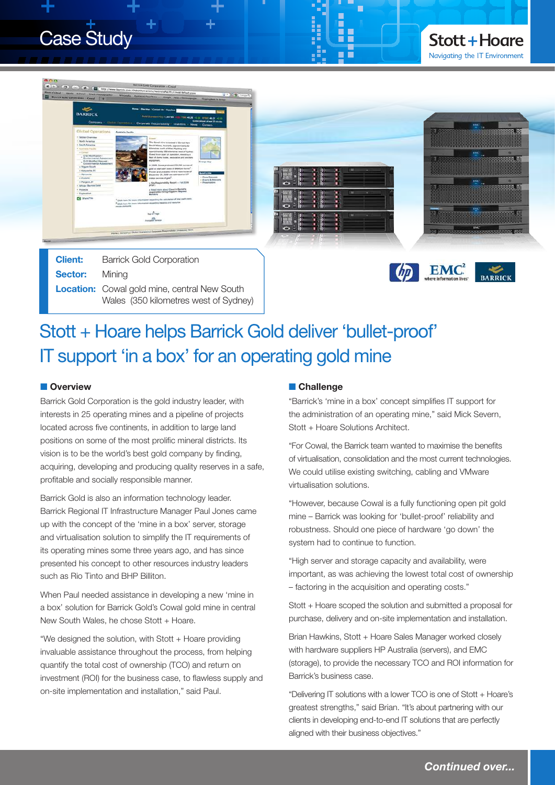



**Sector:** Mining **Location:** Cowal gold mine, central New South Wales (350 kilometres west of Sydney)



## Stott + Hoare helps Barrick Gold deliver 'bullet-proof' IT support 'in a box' for an operating gold mine

#### **n** Overview

Barrick Gold Corporation is the gold industry leader, with interests in 25 operating mines and a pipeline of projects located across five continents, in addition to large land positions on some of the most prolific mineral districts. Its vision is to be the world's best gold company by finding, acquiring, developing and producing quality reserves in a safe, profitable and socially responsible manner.

Barrick Gold is also an information technology leader. Barrick Regional IT Infrastructure Manager Paul Jones came up with the concept of the 'mine in a box' server, storage and virtualisation solution to simplify the IT requirements of its operating mines some three years ago, and has since presented his concept to other resources industry leaders such as Rio Tinto and BHP Billiton.

When Paul needed assistance in developing a new 'mine in a box' solution for Barrick Gold's Cowal gold mine in central New South Wales, he chose Stott + Hoare.

"We designed the solution, with Stott + Hoare providing invaluable assistance throughout the process, from helping quantify the total cost of ownership (TCO) and return on investment (ROI) for the business case, to flawless supply and on-site implementation and installation," said Paul.

#### **n** Challenge

"Barrick's 'mine in a box' concept simplifies IT support for the administration of an operating mine," said Mick Severn, Stott + Hoare Solutions Architect.

"For Cowal, the Barrick team wanted to maximise the benefits of virtualisation, consolidation and the most current technologies. We could utilise existing switching, cabling and VMware virtualisation solutions.

"However, because Cowal is a fully functioning open pit gold mine – Barrick was looking for 'bullet-proof' reliability and robustness. Should one piece of hardware 'go down' the system had to continue to function.

"High server and storage capacity and availability, were important, as was achieving the lowest total cost of ownership – factoring in the acquisition and operating costs."

Stott + Hoare scoped the solution and submitted a proposal for purchase, delivery and on-site implementation and installation.

Brian Hawkins, Stott + Hoare Sales Manager worked closely with hardware suppliers HP Australia (servers), and EMC (storage), to provide the necessary TCO and ROI information for Barrick's business case.

"Delivering IT solutions with a lower TCO is one of Stott + Hoare's greatest strengths," said Brian. "It's about partnering with our clients in developing end-to-end IT solutions that are perfectly aligned with their business objectives."